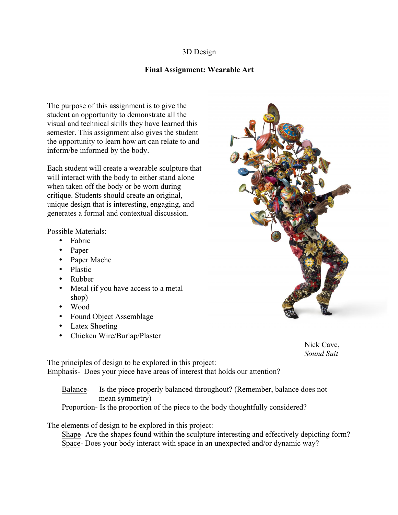## 3D Design

## **Final Assignment: Wearable Art**

The purpose of this assignment is to give the student an opportunity to demonstrate all the visual and technical skills they have learned this semester. This assignment also gives the student the opportunity to learn how art can relate to and inform/be informed by the body.

Each student will create a wearable sculpture that will interact with the body to either stand alone when taken off the body or be worn during critique. Students should create an original, unique design that is interesting, engaging, and generates a formal and contextual discussion.

Possible Materials:

- Fabric
- Paper
- Paper Mache
- Plastic
- Rubber
- Metal (if you have access to a metal shop)
- Wood
- Found Object Assemblage
- Latex Sheeting
- Chicken Wire/Burlap/Plaster



Nick Cave, *Sound Suit*

The principles of design to be explored in this project: Emphasis- Does your piece have areas of interest that holds our attention?

Balance- Is the piece properly balanced throughout? (Remember, balance does not mean symmetry) Proportion- Is the proportion of the piece to the body thoughtfully considered?

The elements of design to be explored in this project:

Shape- Are the shapes found within the sculpture interesting and effectively depicting form? Space- Does your body interact with space in an unexpected and/or dynamic way?